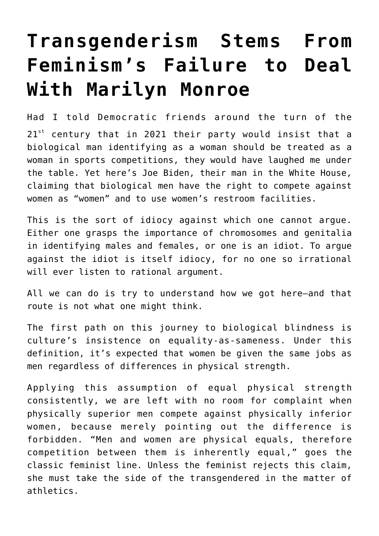## **[Transgenderism Stems From](https://intellectualtakeout.org/2021/02/transgenderism-stems-from-feminisms-failure-to-deal-with-marilyn-monroe/) [Feminism's Failure to Deal](https://intellectualtakeout.org/2021/02/transgenderism-stems-from-feminisms-failure-to-deal-with-marilyn-monroe/) [With Marilyn Monroe](https://intellectualtakeout.org/2021/02/transgenderism-stems-from-feminisms-failure-to-deal-with-marilyn-monroe/)**

Had I told Democratic friends around the turn of the  $21^{st}$  century that in 2021 their party would insist that a biological man identifying as a woman should be treated as a woman in sports competitions, they would have laughed me under the table. Yet here's Joe Biden, their man in the White House, claiming that biological men have the right to compete against women as "women" and to use women's restroom facilities.

This is the sort of idiocy against which one cannot argue. Either one grasps the importance of chromosomes and genitalia in identifying males and females, or one is an idiot. To argue against the idiot is itself idiocy, for no one so irrational will ever listen to rational argument.

All we can do is try to understand how we got here—and that route is not what one might think.

The first path on this journey to biological blindness is culture's insistence on equality-as-sameness. Under this definition, it's expected that women be given the same jobs as men regardless of differences in physical strength.

Applying this assumption of equal physical strength consistently, we are left with no room for complaint when physically superior men compete against physically inferior women, because merely pointing out the difference is forbidden. "Men and women are physical equals, therefore competition between them is inherently equal," goes the classic feminist line. Unless the feminist rejects this claim, she must take the side of the transgendered in the matter of athletics.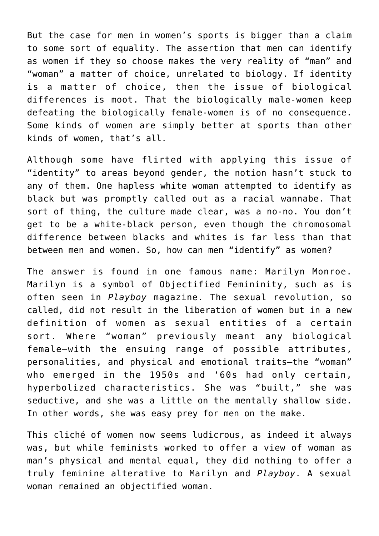But the case for men in women's sports is bigger than a claim to some sort of equality. The assertion that men can identify as women if they so choose makes the very reality of "man" and "woman" a matter of choice, unrelated to biology. If identity is a matter of choice, then the issue of biological differences is moot. That the biologically male-women keep defeating the biologically female-women is of no consequence. Some kinds of women are simply better at sports than other kinds of women, that's all.

Although some have flirted with applying this issue of "identity" to areas beyond gender, the notion hasn't stuck to any of them. One hapless white woman attempted to identify as black but was promptly called out as a racial wannabe. That sort of thing, the culture made clear, was a no-no. You don't get to be a white-black person, even though the chromosomal difference between blacks and whites is far less than that between men and women. So, how can men "identify" as women?

The answer is found in one famous name: Marilyn Monroe. Marilyn is a symbol of Objectified Femininity, such as is often seen in *Playboy* magazine. The sexual revolution, so called, did not result in the liberation of women but in a new definition of women as sexual entities of a certain sort. Where "woman" previously meant any biological female—with the ensuing range of possible attributes, personalities, and physical and emotional traits—the "woman" who emerged in the 1950s and '60s had only certain, hyperbolized characteristics. She was "built," she was seductive, and she was a little on the mentally shallow side. In other words, she was easy prey for men on the make.

This cliché of women now seems ludicrous, as indeed it always was, but while feminists worked to offer a view of woman as man's physical and mental equal, they did nothing to offer a truly feminine alterative to Marilyn and *Playboy*. A sexual woman remained an objectified woman.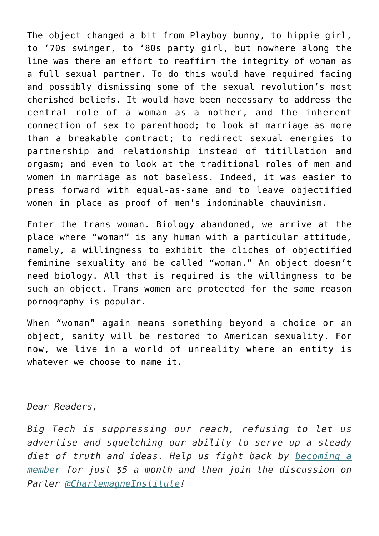The object changed a bit from Playboy bunny, to hippie girl, to '70s swinger, to '80s party girl, but nowhere along the line was there an effort to reaffirm the integrity of woman as a full sexual partner. To do this would have required facing and possibly dismissing some of the sexual revolution's most cherished beliefs. It would have been necessary to address the central role of a woman as a mother, and the inherent connection of sex to parenthood; to look at marriage as more than a breakable contract; to redirect sexual energies to partnership and relationship instead of titillation and orgasm; and even to look at the traditional roles of men and women in marriage as not baseless. Indeed, it was easier to press forward with equal-as-same and to leave objectified women in place as proof of men's indominable chauvinism.

Enter the trans woman. Biology abandoned, we arrive at the place where "woman" is any human with a particular attitude, namely, a willingness to exhibit the cliches of objectified feminine sexuality and be called "woman." An object doesn't need biology. All that is required is the willingness to be such an object. Trans women are protected for the same reason pornography is popular.

When "woman" again means something beyond a choice or an object, sanity will be restored to American sexuality. For now, we live in a world of unreality where an entity is whatever we choose to name it.

—

*Dear Readers,*

*Big Tech is suppressing our reach, refusing to let us advertise and squelching our ability to serve up a steady diet of truth and ideas. Help us fight back by [becoming a](https://www.chroniclesmagazine.org/subscribe/) [member](https://www.chroniclesmagazine.org/subscribe/) for just \$5 a month and then join the discussion on Parler [@CharlemagneInstitute!](https://parler.com/profile/CharlemagneInstitute)*